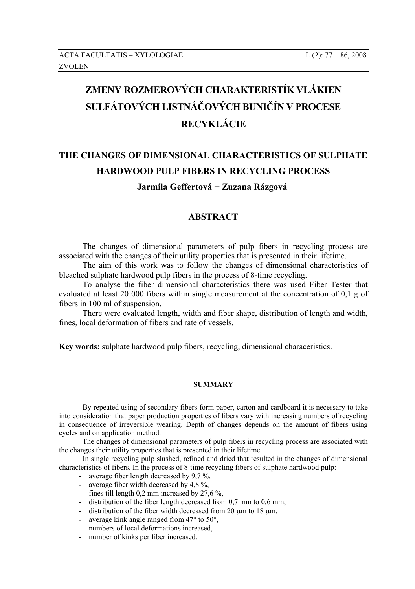## **ZMENY ROZMEROVÝCH CHARAKTERISTÍK VLÁKIEN SULFÁTOVÝCH LISTNÁČOVÝCH BUNIČÍN V PROCESE RECYKLÁCIE**

## **THE CHANGES OF DIMENSIONAL CHARACTERISTICS OF SULPHATE HARDWOOD PULP FIBERS IN RECYCLING PROCESS Jarmila Geffertová − Zuzana Rázgová**

## **ABSTRACT**

The changes of dimensional parameters of pulp fibers in recycling process are associated with the changes of their utility properties that is presented in their lifetime.

The aim of this work was to follow the changes of dimensional characteristics of bleached sulphate hardwood pulp fibers in the process of 8-time recycling.

To analyse the fiber dimensional characteristics there was used Fiber Tester that evaluated at least 20 000 fibers within single measurement at the concentration of 0,1 g of fibers in 100 ml of suspension.

There were evaluated length, width and fiber shape, distribution of length and width, fines, local deformation of fibers and rate of vessels.

**Key words:** sulphate hardwood pulp fibers, recycling, dimensional characeristics.

## **SUMMARY**

By repeated using of secondary fibers form paper, carton and cardboard it is necessary to take into consideration that paper production properties of fibers vary with increasing numbers of recycling in consequence of irreversible wearing. Depth of changes depends on the amount of fibers using cycles and on application method.

The changes of dimensional parameters of pulp fibers in recycling process are associated with the changes their utility properties that is presented in their lifetime.

In single recycling pulp slushed, refined and dried that resulted in the changes of dimensional characteristics of fibers. In the process of 8-time recycling fibers of sulphate hardwood pulp:

- average fiber length decreased by 9,7 %,
- average fiber width decreased by 4,8 %,
- fines till length 0,2 mm increased by 27,6 %,
- distribution of the fiber length decreased from 0,7 mm to 0,6 mm,
- distribution of the fiber width decreased from 20  $\mu$ m to 18  $\mu$ m,
- average kink angle ranged from 47° to 50°,
- numbers of local deformations increased,
- number of kinks per fiber increased.